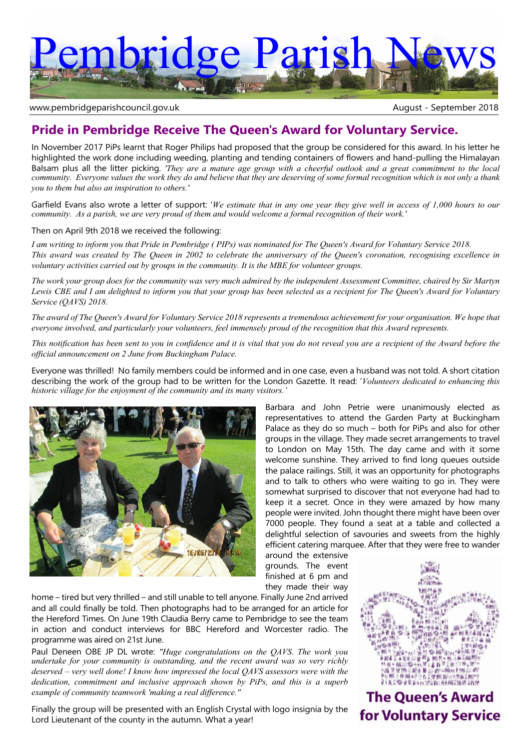# embridge Parish

www.pembridgeparishcouncil.gov.uk and the september 2018

# **Pride in Pembridge Receive The Queen's Award for Voluntary Service.**

In November 2017 PiPs learnt that Roger Philips had proposed that the group be considered for this award. In his letter he highlighted the work done including weeding, planting and tending containers of flowers and hand-pulling the Himalayan Balsam plus all the litter picking. *'They are a mature age group with a cheerful outlook and a great commitment to the local community. Everyone values the work they do and believe that they are deserving of some formal recognition which is not only a thank you to them but also an inspiration to others.'*

Garfield Evans also wrote a letter of support: '*We estimate that in any one year they give well in access of 1,000 hours to our community. As a parish, we are very proud of them and would welcome a formal recognition of their work.'*

Then on April 9th 2018 we received the following:

*I am writing to inform you that Pride in Pembridge ( PIPs) was nominated for The Queen's Award for Voluntary Service 2018. This award was created by The Queen in 2002 to celebrate the anniversary of the Queen's coronation, recognising excellence in voluntary activities carried out by groups in the community. It is the MBE for volunteer groups.*

*The work your group does for the community was very much admired by the independent Assessment Committee, chaired by Sir Martyn Lewis CBE and I am delighted to inform you that your group has been selected as a recipient for The Queen's Award for Voluntary Service (QAVS) 2018.*

*The award of The Queen's Award for Voluntary Service 2018 represents a tremendous achievement for your organisation. We hope that everyone involved, and particularly your volunteers, feel immensely proud of the recognition that this Award represents.*

*This notification has been sent to you in confidence and it is vital that you do not reveal you are a recipient of the Award before the official announcement on 2 June from Buckingham Palace.*

Everyone was thrilled! No family members could be informed and in one case, even a husband was not told. A short citation describing the work of the group had to be written for the London Gazette. It read: '*Volunteers dedicated to enhancing this historic village for the enjoyment of the community and its many visitors.'*



Barbara and John Petrie were unanimously elected as representatives to attend the Garden Party at Buckingham Palace as they do so much – both for PiPs and also for other groups in the village. They made secret arrangements to travel to London on May 15th. The day came and with it some welcome sunshine. They arrived to find long queues outside the palace railings. Still, it was an opportunity for photographs and to talk to others who were waiting to go in. They were somewhat surprised to discover that not everyone had had to keep it a secret. Once in they were amazed by how many people were invited. John thought there might have been over 7000 people. They found a seat at a table and collected a delightful selection of savouries and sweets from the highly efficient catering marquee. After that they were free to wander

around the extensive grounds. The event finished at 6 pm and they made their way

home – tired but very thrilled – and still unable to tell anyone. Finally June 2nd arrived and all could finally be told. Then photographs had to be arranged for an article for the Hereford Times. On June 19th Claudia Berry came to Pembridge to see the team in action and conduct interviews for BBC Hereford and Worcester radio. The programme was aired on 21st June.

Paul Deneen OBE JP DL wrote: *"Huge congratulations on the QAVS. The work you undertake for your community is outstanding, and the recent award was so very richly deserved – very well done! I know how impressed the local QAVS assessors were with the dedication, commitment and inclusive approach shown by PiPs, and this is a superb example of community teamwork 'making a real difference.''*

Finally the group will be presented with an English Crystal with logo insignia by the Lord Lieutenant of the county in the autumn. What a year!



**The Queen's Award for Voluntary Service**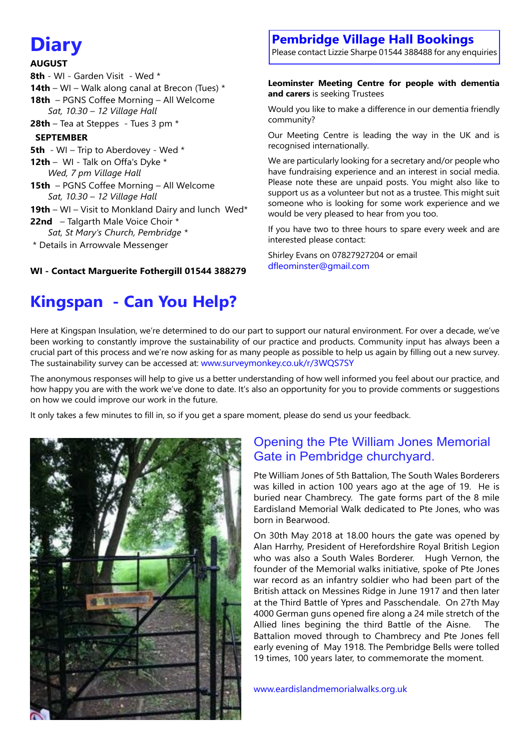# **Diary**

#### **AUGUST**

- 8th WI Garden Visit Wed \*
- **14th** WI Walk along canal at Brecon (Tues) \*
- **18th** PGNS Coffee Morning All Welcome  *Sat, 10.30 – 12 Village Hall*
- **28th** Tea at Steppes Tues 3 pm \*

## **SEPTEMBER**

- **5th** WI Trip to Aberdovey Wed \*
- **12th** WI Talk on Offa's Dyke \*  *Wed, 7 pm Village Hall*
- **15th** PGNS Coffee Morning All Welcome  *Sat, 10.30 – 12 Village Hall*
- **19th** WI Visit to Monkland Dairy and lunch Wed\*
- **22nd** Talgarth Male Voice Choir \*
- *Sat, St Mary's Church, Pembridge \**
- \* Details in Arrowvale Messenger

### **WI - Contact Marguerite Fothergill 01544 388279**

# **Kingspan - Can You Help?**

# **Pembridge Village Hall Bookings**

Please contact Lizzie Sharpe 01544 388488 for any enquiries

#### **Leominster Meeting Centre for people with dementia and carers** is seeking Trustees

Would you like to make a difference in our dementia friendly community?

Our Meeting Centre is leading the way in the UK and is recognised internationally.

We are particularly looking for a secretary and/or people who have fundraising experience and an interest in social media. Please note these are unpaid posts. You might also like to support us as a volunteer but not as a trustee. This might suit someone who is looking for some work experience and we would be very pleased to hear from you too.

If you have two to three hours to spare every week and are interested please contact:

Shirley Evans on 07827927204 or email dfleominster@gmail.com

Here at Kingspan Insulation, we're determined to do our part to support our natural environment. For over a decade, we've been working to constantly improve the sustainability of our practice and products. Community input has always been a crucial part of this process and we're now asking for as many people as possible to help us again by filling out a new survey. The sustainability survey can be accessed at: www.surveymonkey.co.uk/r/3WQS7SY

The anonymous responses will help to give us a better understanding of how well informed you feel about our practice, and how happy you are with the work we've done to date. It's also an opportunity for you to provide comments or suggestions on how we could improve our work in the future.

It only takes a few minutes to fill in, so if you get a spare moment, please do send us your feedback.



# Opening the Pte William Jones Memorial Gate in Pembridge churchyard.

Pte William Jones of 5th Battalion, The South Wales Borderers was killed in action 100 years ago at the age of 19. He is buried near Chambrecy. The gate forms part of the 8 mile Eardisland Memorial Walk dedicated to Pte Jones, who was born in Bearwood.

On 30th May 2018 at 18.00 hours the gate was opened by Alan Harrhy, President of Herefordshire Royal British Legion who was also a South Wales Borderer. Hugh Vernon, the founder of the Memorial walks initiative, spoke of Pte Jones war record as an infantry soldier who had been part of the British attack on Messines Ridge in June 1917 and then later at the Third Battle of Ypres and Passchendale. On 27th May 4000 German guns opened fire along a 24 mile stretch of the Allied lines begining the third Battle of the Aisne. The Battalion moved through to Chambrecy and Pte Jones fell early evening of May 1918. The Pembridge Bells were tolled 19 times, 100 years later, to commemorate the moment.

www.eardislandmemorialwalks.org.uk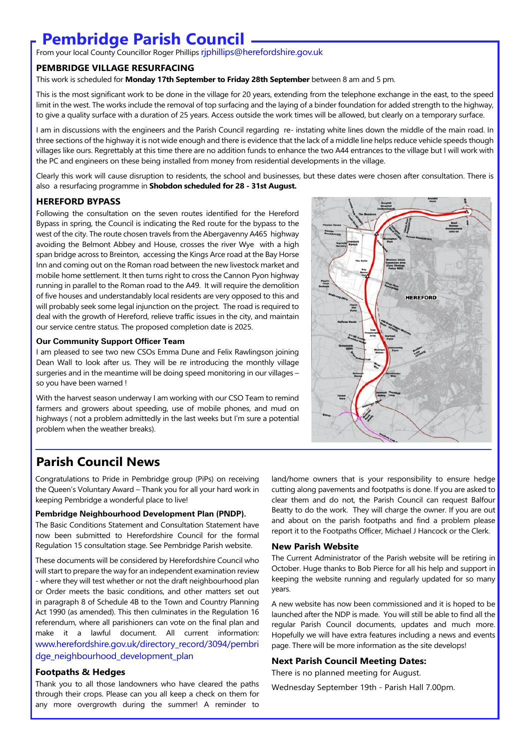# **Pembridge Parish Council**

From your local County Councillor Roger Phillips riphillips@herefordshire.gov.uk

#### **PEMBRIDGE VILLAGE RESURFACING**

This work is scheduled for **Monday 17th September to Friday 28th September** between 8 am and 5 pm.

This is the most significant work to be done in the village for 20 years, extending from the telephone exchange in the east, to the speed limit in the west. The works include the removal of top surfacing and the laying of a binder foundation for added strength to the highway, to give a quality surface with a duration of 25 years. Access outside the work times will be allowed, but clearly on a temporary surface.

I am in discussions with the engineers and the Parish Council regarding re- instating white lines down the middle of the main road. In three sections of the highway it is not wide enough and there is evidence that the lack of a middle line helps reduce vehicle speeds though villages like ours. Regrettably at this time there are no addition funds to enhance the two A44 entrances to the village but I will work with the PC and engineers on these being installed from money from residential developments in the village.

Clearly this work will cause disruption to residents, the school and businesses, but these dates were chosen after consultation. There is also a resurfacing programme in **Shobdon scheduled for 28 - 31st August.**

#### **HEREFORD BYPASS**

Following the consultation on the seven routes identified for the Hereford Bypass in spring, the Council is indicating the Red route for the bypass to the west of the city. The route chosen travels from the Abergavenny A465 highway avoiding the Belmont Abbey and House, crosses the river Wye with a high span bridge across to Breinton, accessing the Kings Arce road at the Bay Horse Inn and coming out on the Roman road between the new livestock market and mobile home settlement. It then turns right to cross the Cannon Pyon highway running in parallel to the Roman road to the A49. It will require the demolition of five houses and understandably local residents are very opposed to this and will probably seek some legal injunction on the project. The road is required to deal with the growth of Hereford, relieve traffic issues in the city, and maintain our service centre status. The proposed completion date is 2025.

#### **Our Community Support Officer Team**

I am pleased to see two new CSOs Emma Dune and Felix Rawlingson joining Dean Wall to look after us. They will be re introducing the monthly village surgeries and in the meantime will be doing speed monitoring in our villages – so you have been warned !

With the harvest season underway I am working with our CSO Team to remind farmers and growers about speeding, use of mobile phones, and mud on highways ( not a problem admittedly in the last weeks but I'm sure a potential problem when the weather breaks).



## **Parish Council News**

Congratulations to Pride in Pembridge group (PiPs) on receiving the Queen's Voluntary Award – Thank you for all your hard work in keeping Pembridge a wonderful place to live!

#### **Pembridge Neighbourhood Development Plan (PNDP).**

The Basic Conditions Statement and Consultation Statement have now been submitted to Herefordshire Council for the formal Regulation 15 consultation stage. See Pembridge Parish website.

These documents will be considered by Herefordshire Council who will start to prepare the way for an independent examination review - where they will test whether or not the draft neighbourhood plan or Order meets the basic conditions, and other matters set out in paragraph 8 of Schedule 4B to the Town and Country Planning Act 1990 (as amended). This then culminates in the Regulation 16 referendum, where all parishioners can vote on the final plan and make it a lawful document. All current information: www.herefordshire.gov.uk/directory\_record/3094/pembri dge\_neighbourhood\_development\_plan

#### **Footpaths & Hedges**

Thank you to all those landowners who have cleared the paths through their crops. Please can you all keep a check on them for any more overgrowth during the summer! A reminder to land/home owners that is your responsibility to ensure hedge cutting along pavements and footpaths is done. If you are asked to clear them and do not, the Parish Council can request Balfour Beatty to do the work. They will charge the owner. If you are out and about on the parish footpaths and find a problem please report it to the Footpaths Officer, Michael J Hancock or the Clerk.

#### **New Parish Website**

The Current Administrator of the Parish website will be retiring in October. Huge thanks to Bob Pierce for all his help and support in keeping the website running and regularly updated for so many years.

A new website has now been commissioned and it is hoped to be launched after the NDP is made. You will still be able to find all the regular Parish Council documents, updates and much more. Hopefully we will have extra features including a news and events page. There will be more information as the site develops!

#### **Next Parish Council Meeting Dates:**

There is no planned meeting for August.

Wednesday September 19th - Parish Hall 7.00pm.